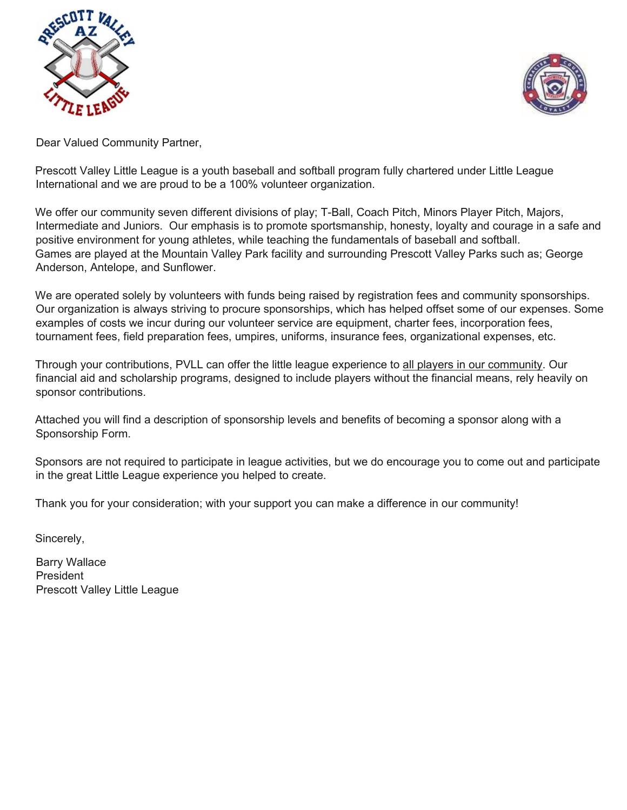



Dear Valued Community Partner,

Prescott Valley Little League is a youth baseball and softball program fully chartered under Little League International and we are proud to be a 100% volunteer organization.

We offer our community seven different divisions of play; T-Ball, Coach Pitch, Minors Player Pitch, Majors, Intermediate and Juniors. Our emphasis is to promote sportsmanship, honesty, loyalty and courage in a safe and positive environment for young athletes, while teaching the fundamentals of baseball and softball. Games are played at the Mountain Valley Park facility and surrounding Prescott Valley Parks such as; George Anderson, Antelope, and Sunflower.

We are operated solely by volunteers with funds being raised by registration fees and community sponsorships. Our organization is always striving to procure sponsorships, which has helped offset some of our expenses. Some examples of costs we incur during our volunteer service are equipment, charter fees, incorporation fees, tournament fees, field preparation fees, umpires, uniforms, insurance fees, organizational expenses, etc.

Through your contributions, PVLL can offer the little league experience to all players in our community. Our financial aid and scholarship programs, designed to include players without the financial means, rely heavily on sponsor contributions.

Attached you will find a description of sponsorship levels and benefits of becoming a sponsor along with a Sponsorship Form.

Sponsors are not required to participate in league activities, but we do encourage you to come out and participate in the great Little League experience you helped to create.

Thank you for your consideration; with your support you can make a difference in our community!

Sincerely,

Barry Wallace President Prescott Valley Little League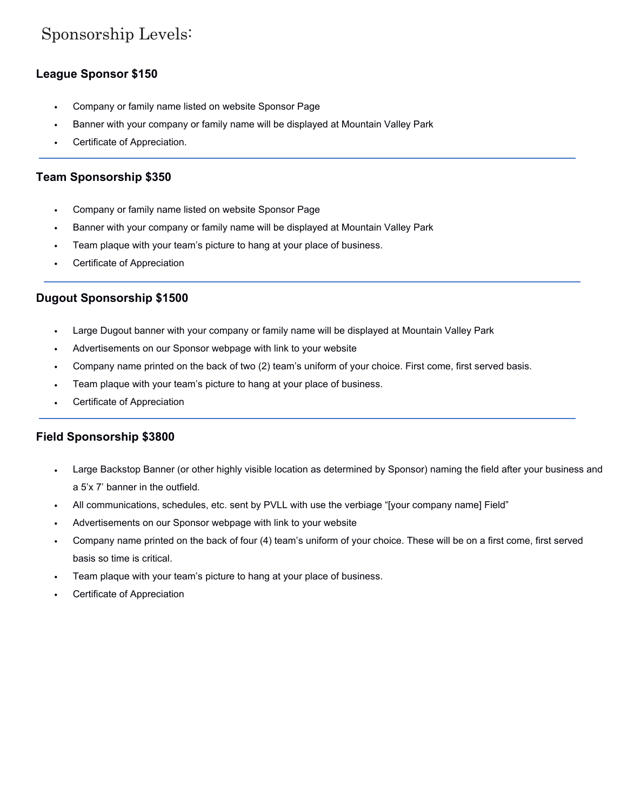# Sponsorship Levels:

#### **League Sponsor \$150**

- Company or family name listed on website Sponsor Page
- Banner with your company or family name will be displayed at Mountain Valley Park
- Certificate of Appreciation.

#### **Team Sponsorship \$350**

- Company or family name listed on website Sponsor Page
- Banner with your company or family name will be displayed at Mountain Valley Park
- Team plaque with your team's picture to hang at your place of business.
- Certificate of Appreciation

#### **Dugout Sponsorship \$1500**

- Large Dugout banner with your company or family name will be displayed at Mountain Valley Park
- Advertisements on our Sponsor webpage with link to your website
- Company name printed on the back of two (2) team's uniform of your choice. First come, first served basis.
- Team plaque with your team's picture to hang at your place of business.
- Certificate of Appreciation

#### **Field Sponsorship \$3800**

- Large Backstop Banner (or other highly visible location as determined by Sponsor) naming the field after your business and a 5'x 7' banner in the outfield.
- All communications, schedules, etc. sent by PVLL with use the verbiage "[your company name] Field"
- Advertisements on our Sponsor webpage with link to your website
- Company name printed on the back of four (4) team's uniform of your choice. These will be on a first come, first served basis so time is critical.
- Team plaque with your team's picture to hang at your place of business.
- Certificate of Appreciation